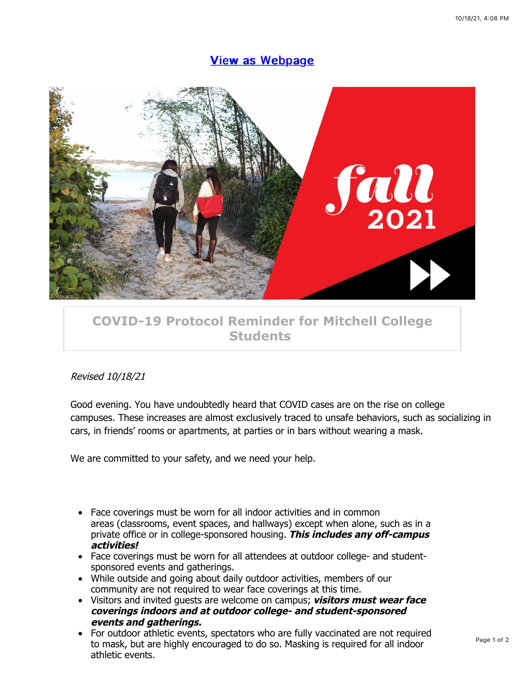## **[View as Webpage](https://campaignlp.constantcontact.com/em/1119223208753/600be6a3-7dda-476a-81af-8d279354268a)**



## **[COVID-19 Protocol Reminder for Mitchell College](https://app.constantcontact.com/pages/campaigns/email-details/details/activity/600be6a3-7dda-476a-81af-8d279354268a#) Students**

## Revised 10/18/21

Good evening. You have undoubtedly heard that COVID cases are on the rise on college campuses. These increases are almost exclusively traced to unsafe behaviors, such as socializing in cars, in friends' rooms or apartments, at parties or in bars without wearing a mask.

We are committed to your safety, and we need your help.

- Face coverings must be worn for all indoor activities and in common areas (classrooms, event spaces, and hallways) except when alone, such as in a private office or in college-sponsored housing. **This includes any off-campus activities!**
- Face coverings must be worn for all attendees at outdoor college- and studentsponsored events and gatherings.
- While outside and going about daily outdoor activities, members of our community are not required to wear face coverings at this time.
- Visitors and invited guests are welcome on campus; **visitors must wear face coverings indoors and at outdoor college- and student-sponsored events and gatherings.**
- For outdoor athletic events, spectators who are fully vaccinated are not required to mask, but are highly encouraged to do so. Masking is required for all indoor athletic events.